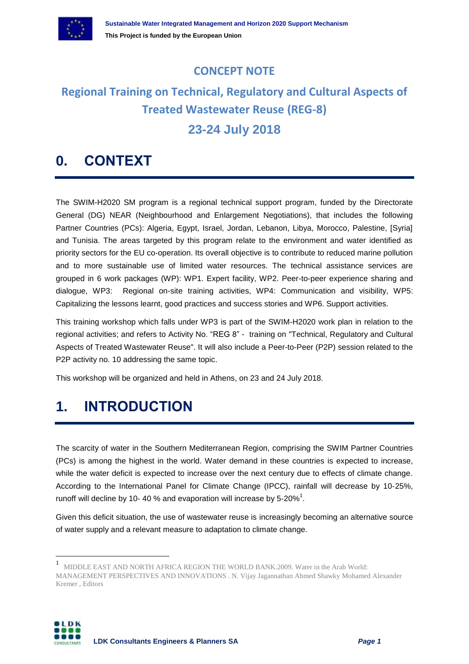

### **CONCEPT NOTE**

## **Regional Training on Technical, Regulatory and Cultural Aspects of Treated Wastewater Reuse (REG-8)**

### **23-24 July 2018**

### **0. CONTEXT**

The SWIM-H2020 SM program is a regional technical support program, funded by the Directorate General (DG) NEAR (Neighbourhood and Enlargement Negotiations), that includes the following Partner Countries (PCs): Algeria, Egypt, Israel, Jordan, Lebanon, Libya, Morocco, Palestine, [Syria] and Tunisia. The areas targeted by this program relate to the environment and water identified as priority sectors for the EU co-operation. Its overall objective is to contribute to reduced marine pollution and to more sustainable use of limited water resources. The technical assistance services are grouped in 6 work packages (WP): WP1. Expert facility, WP2. Peer-to-peer experience sharing and dialogue, WP3: Regional on-site training activities, WP4: Communication and visibility, WP5: Capitalizing the lessons learnt, good practices and success stories and WP6. Support activities.

This training workshop which falls under WP3 is part of the SWIM-H2020 work plan in relation to the regional activities; and refers to Activity No. "REG 8" - training on "Technical, Regulatory and Cultural Aspects of Treated Wastewater Reuse". It will also include a Peer-to-Peer (P2P) session related to the P2P activity no. 10 addressing the same topic.

This workshop will be organized and held in Athens, on 23 and 24 July 2018.

### **1. INTRODUCTION**

 $\overline{a}$ 

The scarcity of water in the Southern Mediterranean Region, comprising the SWIM Partner Countries (PCs) is among the highest in the world. Water demand in these countries is expected to increase, while the water deficit is expected to increase over the next century due to effects of climate change. According to the International Panel for Climate Change (IPCC), rainfall will decrease by 10‐25%, runoff will decline by 10- 40 % and evaporation will increase by 5-20%<sup>1</sup>.

Given this deficit situation, the use of wastewater reuse is increasingly becoming an alternative source of water supply and a relevant measure to adaptation to climate change.

<sup>1</sup> MIDDLE EAST AND NORTH AFRICA REGION THE WORLD BANK.2009. Water in the Arab World: MANAGEMENT PERSPECTIVES AND INNOVATIONS . N. Vijay Jagannathan Ahmed Shawky Mohamed Alexander Kremer , Editors

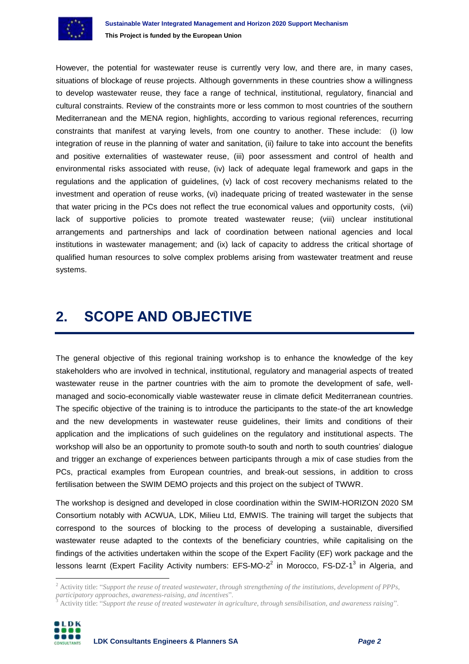

However, the potential for wastewater reuse is currently very low, and there are, in many cases, situations of blockage of reuse projects. Although governments in these countries show a willingness to develop wastewater reuse, they face a range of technical, institutional, regulatory, financial and cultural constraints. Review of the constraints more or less common to most countries of the southern Mediterranean and the MENA region, highlights, according to various regional references, recurring constraints that manifest at varying levels, from one country to another. These include: (i) low integration of reuse in the planning of water and sanitation, (ii) failure to take into account the benefits and positive externalities of wastewater reuse, (iii) poor assessment and control of health and environmental risks associated with reuse, (iv) lack of adequate legal framework and gaps in the regulations and the application of guidelines, (v) lack of cost recovery mechanisms related to the investment and operation of reuse works, (vi) inadequate pricing of treated wastewater in the sense that water pricing in the PCs does not reflect the true economical values and opportunity costs, (vii) lack of supportive policies to promote treated wastewater reuse; (viii) unclear institutional arrangements and partnerships and lack of coordination between national agencies and local institutions in wastewater management; and (ix) lack of capacity to address the critical shortage of qualified human resources to solve complex problems arising from wastewater treatment and reuse systems.

### **2. SCOPE AND OBJECTIVE**

The general objective of this regional training workshop is to enhance the knowledge of the key stakeholders who are involved in technical, institutional, regulatory and managerial aspects of treated wastewater reuse in the partner countries with the aim to promote the development of safe, wellmanaged and socio-economically viable wastewater reuse in climate deficit Mediterranean countries. The specific objective of the training is to introduce the participants to the state-of the art knowledge and the new developments in wastewater reuse guidelines, their limits and conditions of their application and the implications of such guidelines on the regulatory and institutional aspects. The workshop will also be an opportunity to promote south-to south and north to south countries' dialogue and trigger an exchange of experiences between participants through a mix of case studies from the PCs, practical examples from European countries, and break-out sessions, in addition to cross fertilisation between the SWIM DEMO projects and this project on the subject of TWWR.

The workshop is designed and developed in close coordination within the SWIM-HORIZON 2020 SM Consortium notably with ACWUA, LDK, Milieu Ltd, EMWIS. The training will target the subjects that correspond to the sources of blocking to the process of developing a sustainable, diversified wastewater reuse adapted to the contexts of the beneficiary countries, while capitalising on the findings of the activities undertaken within the scope of the Expert Facility (EF) work package and the lessons learnt (Expert Facility Activity numbers: EFS-MO-2<sup>2</sup> in Morocco, FS-DZ-1<sup>3</sup> in Algeria, and

<sup>3</sup> Activity title: "*Support the reuse of treated wastewater in agriculture, through sensibilisation, and awareness raising*".



 $\overline{a}$ 

<sup>2</sup> Activity title: "*Support the reuse of treated wastewater, through strengthening of the institutions, development of PPPs, participatory approaches, awareness-raising, and incentives*".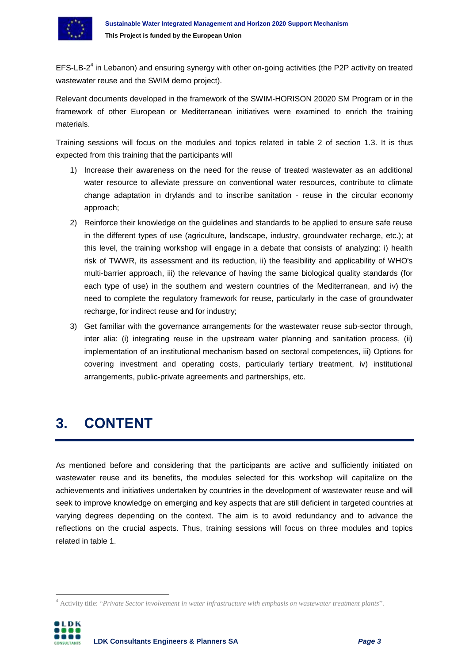

EFS-LB-2<sup>4</sup> in Lebanon) and ensuring synergy with other on-going activities (the P2P activity on treated wastewater reuse and the SWIM demo project).

Relevant documents developed in the framework of the SWIM-HORISON 20020 SM Program or in the framework of other European or Mediterranean initiatives were examined to enrich the training materials.

Training sessions will focus on the modules and topics related in table 2 of section 1.3. It is thus expected from this training that the participants will

- 1) Increase their awareness on the need for the reuse of treated wastewater as an additional water resource to alleviate pressure on conventional water resources, contribute to climate change adaptation in drylands and to inscribe sanitation - reuse in the circular economy approach;
- 2) Reinforce their knowledge on the guidelines and standards to be applied to ensure safe reuse in the different types of use (agriculture, landscape, industry, groundwater recharge, etc.); at this level, the training workshop will engage in a debate that consists of analyzing: i) health risk of TWWR, its assessment and its reduction, ii) the feasibility and applicability of WHO's multi-barrier approach, iii) the relevance of having the same biological quality standards (for each type of use) in the southern and western countries of the Mediterranean, and iv) the need to complete the regulatory framework for reuse, particularly in the case of groundwater recharge, for indirect reuse and for industry;
- 3) Get familiar with the governance arrangements for the wastewater reuse sub-sector through, inter alia: (i) integrating reuse in the upstream water planning and sanitation process, (ii) implementation of an institutional mechanism based on sectoral competences, iii) Options for covering investment and operating costs, particularly tertiary treatment, iv) institutional arrangements, public-private agreements and partnerships, etc.

### **3. CONTENT**

As mentioned before and considering that the participants are active and sufficiently initiated on wastewater reuse and its benefits, the modules selected for this workshop will capitalize on the achievements and initiatives undertaken by countries in the development of wastewater reuse and will seek to improve knowledge on emerging and key aspects that are still deficient in targeted countries at varying degrees depending on the context. The aim is to avoid redundancy and to advance the reflections on the crucial aspects. Thus, training sessions will focus on three modules and topics related in table 1.

<sup>4</sup> Activity title: "*Private Sector involvement in water infrastructure with emphasis on wastewater treatment plants*".



 $\overline{a}$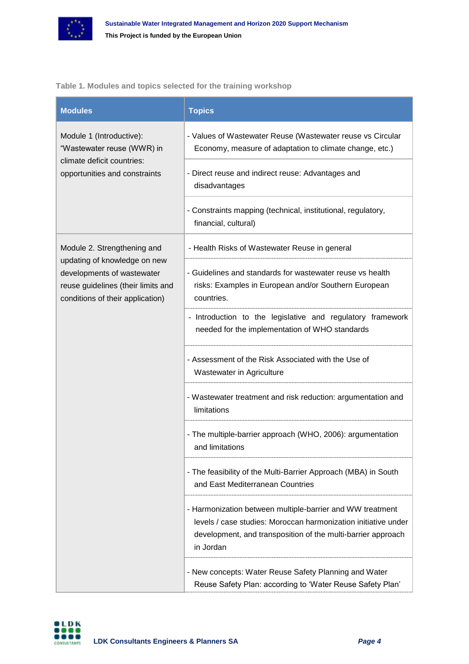

#### **Table 1. Modules and topics selected for the training workshop**

| <b>Modules</b>                                                                                                                                                      | <b>Topics</b>                                                                                                                                                                                            |
|---------------------------------------------------------------------------------------------------------------------------------------------------------------------|----------------------------------------------------------------------------------------------------------------------------------------------------------------------------------------------------------|
| Module 1 (Introductive):<br>"Wastewater reuse (WWR) in<br>climate deficit countries:<br>opportunities and constraints                                               | - Values of Wastewater Reuse (Wastewater reuse vs Circular<br>Economy, measure of adaptation to climate change, etc.)                                                                                    |
|                                                                                                                                                                     | - Direct reuse and indirect reuse: Advantages and<br>disadvantages                                                                                                                                       |
|                                                                                                                                                                     | - Constraints mapping (technical, institutional, regulatory,<br>financial, cultural)                                                                                                                     |
| Module 2. Strengthening and<br>updating of knowledge on new<br>developments of wastewater<br>reuse guidelines (their limits and<br>conditions of their application) | - Health Risks of Wastewater Reuse in general                                                                                                                                                            |
|                                                                                                                                                                     | - Guidelines and standards for wastewater reuse vs health<br>risks: Examples in European and/or Southern European<br>countries.                                                                          |
|                                                                                                                                                                     | - Introduction to the legislative and regulatory framework<br>needed for the implementation of WHO standards                                                                                             |
|                                                                                                                                                                     | - Assessment of the Risk Associated with the Use of<br>Wastewater in Agriculture                                                                                                                         |
|                                                                                                                                                                     | - Wastewater treatment and risk reduction: argumentation and<br>limitations                                                                                                                              |
|                                                                                                                                                                     | - The multiple-barrier approach (WHO, 2006): argumentation<br>and limitations                                                                                                                            |
|                                                                                                                                                                     | - The feasibility of the Multi-Barrier Approach (MBA) in South<br>and East Mediterranean Countries                                                                                                       |
|                                                                                                                                                                     | - Harmonization between multiple-barrier and WW treatment<br>levels / case studies: Moroccan harmonization initiative under<br>development, and transposition of the multi-barrier approach<br>in Jordan |
|                                                                                                                                                                     | - New concepts: Water Reuse Safety Planning and Water<br>Reuse Safety Plan: according to 'Water Reuse Safety Plan'                                                                                       |

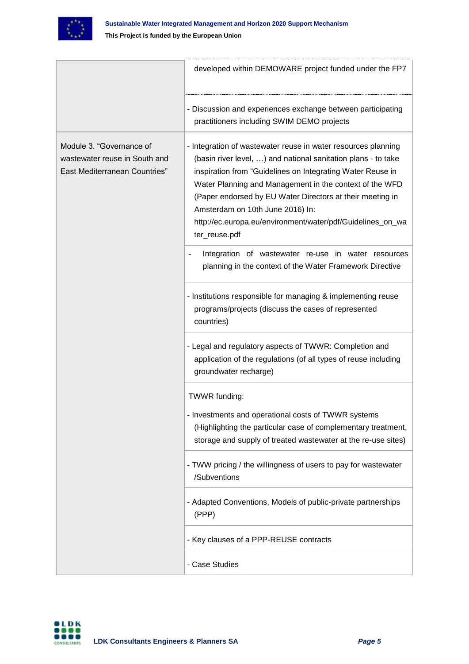

|                                                                                            | developed within DEMOWARE project funded under the FP7                                                                                                                                                                                                                                                                                                                                                                                  |
|--------------------------------------------------------------------------------------------|-----------------------------------------------------------------------------------------------------------------------------------------------------------------------------------------------------------------------------------------------------------------------------------------------------------------------------------------------------------------------------------------------------------------------------------------|
|                                                                                            | - Discussion and experiences exchange between participating<br>practitioners including SWIM DEMO projects                                                                                                                                                                                                                                                                                                                               |
| Module 3. "Governance of<br>wastewater reuse in South and<br>East Mediterranean Countries" | - Integration of wastewater reuse in water resources planning<br>(basin river level, ) and national sanitation plans - to take<br>inspiration from "Guidelines on Integrating Water Reuse in<br>Water Planning and Management in the context of the WFD<br>(Paper endorsed by EU Water Directors at their meeting in<br>Amsterdam on 10th June 2016) In:<br>http://ec.europa.eu/environment/water/pdf/Guidelines_on_wa<br>ter_reuse.pdf |
|                                                                                            | Integration of wastewater re-use in water resources<br>planning in the context of the Water Framework Directive                                                                                                                                                                                                                                                                                                                         |
|                                                                                            | - Institutions responsible for managing & implementing reuse<br>programs/projects (discuss the cases of represented<br>countries)                                                                                                                                                                                                                                                                                                       |
|                                                                                            | - Legal and regulatory aspects of TWWR: Completion and<br>application of the regulations (of all types of reuse including<br>groundwater recharge)                                                                                                                                                                                                                                                                                      |
|                                                                                            | TWWR funding:<br>- Investments and operational costs of TWWR systems<br>(Highlighting the particular case of complementary treatment,<br>storage and supply of treated wastewater at the re-use sites)                                                                                                                                                                                                                                  |
|                                                                                            | - TWW pricing / the willingness of users to pay for wastewater<br>/Subventions                                                                                                                                                                                                                                                                                                                                                          |
|                                                                                            | - Adapted Conventions, Models of public-private partnerships<br>(PPP)                                                                                                                                                                                                                                                                                                                                                                   |
|                                                                                            | - Key clauses of a PPP-REUSE contracts                                                                                                                                                                                                                                                                                                                                                                                                  |
|                                                                                            | - Case Studies                                                                                                                                                                                                                                                                                                                                                                                                                          |

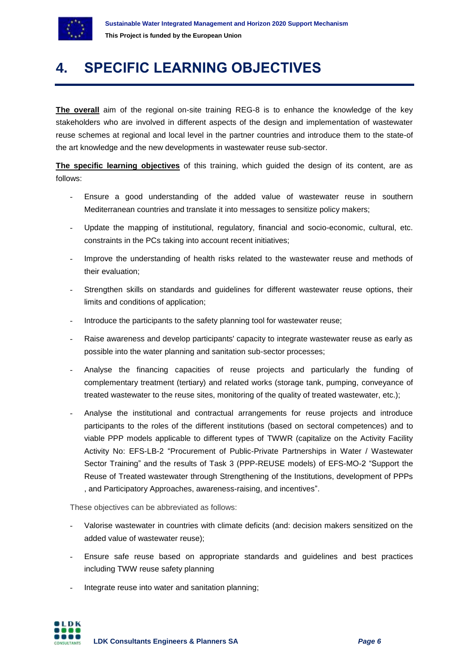

### **4. SPECIFIC LEARNING OBJECTIVES**

**The overall** aim of the regional on-site training REG-8 is to enhance the knowledge of the key stakeholders who are involved in different aspects of the design and implementation of wastewater reuse schemes at regional and local level in the partner countries and introduce them to the state-of the art knowledge and the new developments in wastewater reuse sub-sector.

**The specific learning objectives** of this training, which guided the design of its content, are as follows:

- Ensure a good understanding of the added value of wastewater reuse in southern Mediterranean countries and translate it into messages to sensitize policy makers;
- Update the mapping of institutional, regulatory, financial and socio-economic, cultural, etc. constraints in the PCs taking into account recent initiatives;
- Improve the understanding of health risks related to the wastewater reuse and methods of their evaluation;
- Strengthen skills on standards and quidelines for different wastewater reuse options, their limits and conditions of application;
- Introduce the participants to the safety planning tool for wastewater reuse;
- Raise awareness and develop participants' capacity to integrate wastewater reuse as early as possible into the water planning and sanitation sub-sector processes;
- Analyse the financing capacities of reuse projects and particularly the funding of complementary treatment (tertiary) and related works (storage tank, pumping, conveyance of treated wastewater to the reuse sites, monitoring of the quality of treated wastewater, etc.);
- Analyse the institutional and contractual arrangements for reuse projects and introduce participants to the roles of the different institutions (based on sectoral competences) and to viable PPP models applicable to different types of TWWR (capitalize on the Activity Facility Activity No: EFS-LB-2 "Procurement of Public-Private Partnerships in Water / Wastewater Sector Training" and the results of Task 3 (PPP-REUSE models) of EFS-MO-2 "Support the Reuse of Treated wastewater through Strengthening of the Institutions, development of PPPs , and Participatory Approaches, awareness-raising, and incentives".

These objectives can be abbreviated as follows:

- Valorise wastewater in countries with climate deficits (and: decision makers sensitized on the added value of wastewater reuse);
- Ensure safe reuse based on appropriate standards and guidelines and best practices including TWW reuse safety planning
- Integrate reuse into water and sanitation planning;



IL DK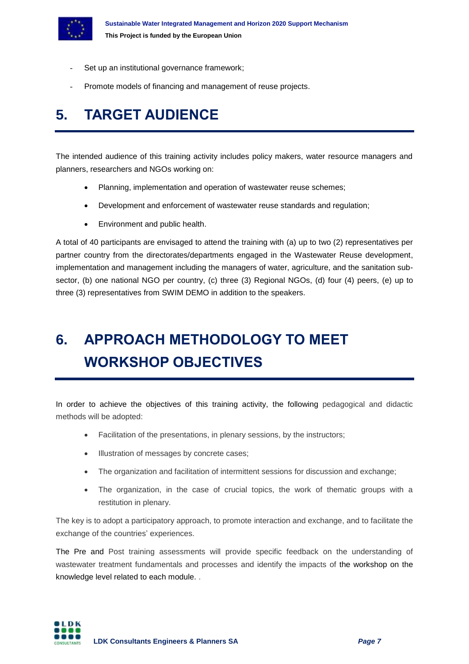

- Set up an institutional governance framework;
- Promote models of financing and management of reuse projects.

## **5. TARGET AUDIENCE**

The intended audience of this training activity includes policy makers, water resource managers and planners, researchers and NGOs working on:

- Planning, implementation and operation of wastewater reuse schemes;
- Development and enforcement of wastewater reuse standards and regulation;
- Environment and public health.

A total of 40 participants are envisaged to attend the training with (a) up to two (2) representatives per partner country from the directorates/departments engaged in the Wastewater Reuse development, implementation and management including the managers of water, agriculture, and the sanitation subsector, (b) one national NGO per country, (c) three (3) Regional NGOs, (d) four (4) peers, (e) up to three (3) representatives from SWIM DEMO in addition to the speakers.

# **6. APPROACH METHODOLOGY TO MEET WORKSHOP OBJECTIVES**

In order to achieve the objectives of this training activity, the following pedagogical and didactic methods will be adopted:

- Facilitation of the presentations, in plenary sessions, by the instructors;
- **Illustration of messages by concrete cases;**
- The organization and facilitation of intermittent sessions for discussion and exchange:
- The organization, in the case of crucial topics, the work of thematic groups with a restitution in plenary.

The key is to adopt a participatory approach, to promote interaction and exchange, and to facilitate the exchange of the countries' experiences.

The Pre and Post training assessments will provide specific feedback on the understanding of wastewater treatment fundamentals and processes and identify the impacts of the workshop on the knowledge level related to each module. .